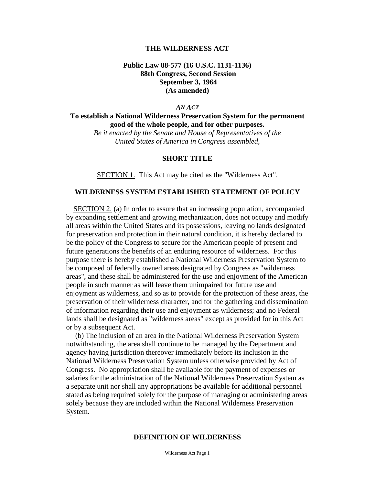#### **THE WILDERNESS ACT**

## **Public Law 88-577 (16 U.S.C. 1131-1136) 88th Congress, Second Session September 3, 1964 (As amended)**

#### *AN ACT*

# **To establish a National Wilderness Preservation System for the permanent good of the whole people, and for other purposes.**

*Be it enacted by the Senate and House of Representatives of the United States of America in Congress assembled,*

### **SHORT TITLE**

SECTION 1. This Act may be cited as the "Wilderness Act".

# **WILDERNESS SYSTEM ESTABLISHED STATEMENT OF POLICY**

SECTION 2. (a) In order to assure that an increasing population, accompanied by expanding settlement and growing mechanization, does not occupy and modify all areas within the United States and its possessions, leaving no lands designated for preservation and protection in their natural condition, it is hereby declared to be the policy of the Congress to secure for the American people of present and future generations the benefits of an enduring resource of wilderness. For this purpose there is hereby established a National Wilderness Preservation System to be composed of federally owned areas designated by Congress as "wilderness areas", and these shall be administered for the use and enjoyment of the American people in such manner as will leave them unimpaired for future use and enjoyment as wilderness, and so as to provide for the protection of these areas, the preservation of their wilderness character, and for the gathering and dissemination of information regarding their use and enjoyment as wilderness; and no Federal lands shall be designated as "wilderness areas" except as provided for in this Act or by a subsequent Act.

 (b) The inclusion of an area in the National Wilderness Preservation System notwithstanding, the area shall continue to be managed by the Department and agency having jurisdiction thereover immediately before its inclusion in the National Wilderness Preservation System unless otherwise provided by Act of Congress. No appropriation shall be available for the payment of expenses or salaries for the administration of the National Wilderness Preservation System as a separate unit nor shall any appropriations be available for additional personnel stated as being required solely for the purpose of managing or administering areas solely because they are included within the National Wilderness Preservation System.

#### **DEFINITION OF WILDERNESS**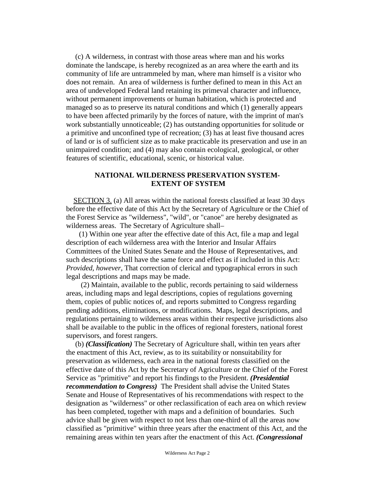(c) A wilderness, in contrast with those areas where man and his works dominate the landscape, is hereby recognized as an area where the earth and its community of life are untrammeled by man, where man himself is a visitor who does not remain. An area of wilderness is further defined to mean in this Act an area of undeveloped Federal land retaining its primeval character and influence, without permanent improvements or human habitation, which is protected and managed so as to preserve its natural conditions and which (1) generally appears to have been affected primarily by the forces of nature, with the imprint of man's work substantially unnoticeable; (2) has outstanding opportunities for solitude or a primitive and unconfined type of recreation; (3) has at least five thousand acres of land or is of sufficient size as to make practicable its preservation and use in an unimpaired condition; and (4) may also contain ecological, geological, or other features of scientific, educational, scenic, or historical value.

# **NATIONAL WILDERNESS PRESERVATION SYSTEM-EXTENT OF SYSTEM**

SECTION 3. (a) All areas within the national forests classified at least 30 days before the effective date of this Act by the Secretary of Agriculture or the Chief of the Forest Service as "wilderness", "wild", or "canoe" are hereby designated as wilderness areas. The Secretary of Agriculture shall–

 (1) Within one year after the effective date of this Act, file a map and legal description of each wilderness area with the Interior and Insular Affairs Committees of the United States Senate and the House of Representatives, and such descriptions shall have the same force and effect as if included in this Act: *Provided, however,* That correction of clerical and typographical errors in such legal descriptions and maps may be made.

 (2) Maintain, available to the public, records pertaining to said wilderness areas, including maps and legal descriptions, copies of regulations governing them, copies of public notices of, and reports submitted to Congress regarding pending additions, eliminations, or modifications. Maps, legal descriptions, and regulations pertaining to wilderness areas within their respective jurisdictions also shall be available to the public in the offices of regional foresters, national forest supervisors, and forest rangers.

 (b) *(Classification)* The Secretary of Agriculture shall, within ten years after the enactment of this Act, review, as to its suitability or nonsuitability for preservation as wilderness, each area in the national forests classified on the effective date of this Act by the Secretary of Agriculture or the Chief of the Forest Service as "primitive" and report his findings to the President. *(Presidential recommendation to Congress)* The President shall advise the United States Senate and House of Representatives of his recommendations with respect to the designation as "wilderness" or other reclassification of each area on which review has been completed, together with maps and a definition of boundaries. Such advice shall be given with respect to not less than one-third of all the areas now classified as "primitive" within three years after the enactment of this Act, and the remaining areas within ten years after the enactment of this Act. *(Congressional*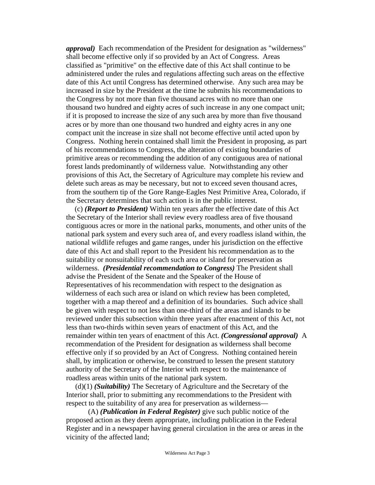*approval)* Each recommendation of the President for designation as "wilderness" shall become effective only if so provided by an Act of Congress. Areas classified as "primitive" on the effective date of this Act shall continue to be administered under the rules and regulations affecting such areas on the effective date of this Act until Congress has determined otherwise. Any such area may be increased in size by the President at the time he submits his recommendations to the Congress by not more than five thousand acres with no more than one thousand two hundred and eighty acres of such increase in any one compact unit; if it is proposed to increase the size of any such area by more than five thousand acres or by more than one thousand two hundred and eighty acres in any one compact unit the increase in size shall not become effective until acted upon by Congress. Nothing herein contained shall limit the President in proposing, as part of his recommendations to Congress, the alteration of existing boundaries of primitive areas or recommending the addition of any contiguous area of national forest lands predominantly of wilderness value. Notwithstanding any other provisions of this Act, the Secretary of Agriculture may complete his review and delete such areas as may be necessary, but not to exceed seven thousand acres, from the southern tip of the Gore Range-Eagles Nest Primitive Area, Colorado, if the Secretary determines that such action is in the public interest.

(c) *(Report to President)* Within ten years after the effective date of this Act the Secretary of the Interior shall review every roadless area of five thousand contiguous acres or more in the national parks, monuments, and other units of the national park system and every such area of, and every roadless island within, the national wildlife refuges and game ranges, under his jurisdiction on the effective date of this Act and shall report to the President his recommendation as to the suitability or nonsuitability of each such area or island for preservation as wilderness. *(Presidential recommendation to Congress)* The President shall advise the President of the Senate and the Speaker of the House of Representatives of his recommendation with respect to the designation as wilderness of each such area or island on which review has been completed, together with a map thereof and a definition of its boundaries. Such advice shall be given with respect to not less than one-third of the areas and islands to be reviewed under this subsection within three years after enactment of this Act, not less than two-thirds within seven years of enactment of this Act, and the remainder within ten years of enactment of this Act. *(Congressional approval)* A recommendation of the President for designation as wilderness shall become effective only if so provided by an Act of Congress. Nothing contained herein shall, by implication or otherwise, be construed to lessen the present statutory authority of the Secretary of the Interior with respect to the maintenance of roadless areas within units of the national park system.

 (d)(1) *(Suitability)* The Secretary of Agriculture and the Secretary of the Interior shall, prior to submitting any recommendations to the President with respect to the suitability of any area for preservation as wilderness—

 (A) *(Publication in Federal Register)* give such public notice of the proposed action as they deem appropriate, including publication in the Federal Register and in a newspaper having general circulation in the area or areas in the vicinity of the affected land;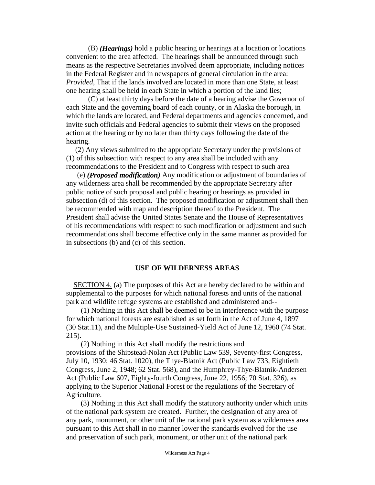(B) *(Hearings)* hold a public hearing or hearings at a location or locations convenient to the area affected. The hearings shall be announced through such means as the respective Secretaries involved deem appropriate, including notices in the Federal Register and in newspapers of general circulation in the area: *Provided,* That if the lands involved are located in more than one State, at least one hearing shall be held in each State in which a portion of the land lies;

 (C) at least thirty days before the date of a hearing advise the Governor of each State and the governing board of each county, or in Alaska the borough, in which the lands are located, and Federal departments and agencies concerned, and invite such officials and Federal agencies to submit their views on the proposed action at the hearing or by no later than thirty days following the date of the hearing.

 (2) Any views submitted to the appropriate Secretary under the provisions of (1) of this subsection with respect to any area shall be included with any recommendations to the President and to Congress with respect to such area

 (e) *(Proposed modification)* Any modification or adjustment of boundaries of any wilderness area shall be recommended by the appropriate Secretary after public notice of such proposal and public hearing or hearings as provided in subsection (d) of this section. The proposed modification or adjustment shall then be recommended with map and description thereof to the President. The President shall advise the United States Senate and the House of Representatives of his recommendations with respect to such modification or adjustment and such recommendations shall become effective only in the same manner as provided for in subsections (b) and (c) of this section.

#### **USE OF WILDERNESS AREAS**

SECTION 4. (a) The purposes of this Act are hereby declared to be within and supplemental to the purposes for which national forests and units of the national park and wildlife refuge systems are established and administered and--

 (1) Nothing in this Act shall be deemed to be in interference with the purpose for which national forests are established as set forth in the Act of June 4, 1897 (30 Stat.11), and the Multiple-Use Sustained-Yield Act of June 12, 1960 (74 Stat. 215).

 (2) Nothing in this Act shall modify the restrictions and provisions of the Shipstead-Nolan Act (Public Law 539, Seventy-first Congress, July 10, 1930; 46 Stat. 1020), the Thye-Blatnik Act (Public Law 733, Eightieth Congress, June 2, 1948; 62 Stat. 568), and the Humphrey-Thye-Blatnik-Andersen Act (Public Law 607, Eighty-fourth Congress, June 22, 1956; 70 Stat. 326), as applying to the Superior National Forest or the regulations of the Secretary of Agriculture.

 (3) Nothing in this Act shall modify the statutory authority under which units of the national park system are created. Further, the designation of any area of any park, monument, or other unit of the national park system as a wilderness area pursuant to this Act shall in no manner lower the standards evolved for the use and preservation of such park, monument, or other unit of the national park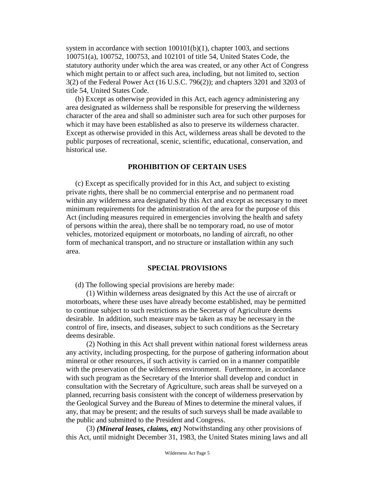system in accordance with section  $100101(b)(1)$ , chapter 1003, and sections 100751(a), 100752, 100753, and 102101 of title 54, United States Code, the statutory authority under which the area was created, or any other Act of Congress which might pertain to or affect such area, including, but not limited to, section 3(2) of the Federal Power Act (16 U.S.C. 796(2)); and chapters 3201 and 3203 of title 54, United States Code.

 (b) Except as otherwise provided in this Act, each agency administering any area designated as wilderness shall be responsible for preserving the wilderness character of the area and shall so administer such area for such other purposes for which it may have been established as also to preserve its wilderness character. Except as otherwise provided in this Act, wilderness areas shall be devoted to the public purposes of recreational, scenic, scientific, educational, conservation, and historical use.

### **PROHIBITION OF CERTAIN USES**

 (c) Except as specifically provided for in this Act, and subject to existing private rights, there shall be no commercial enterprise and no permanent road within any wilderness area designated by this Act and except as necessary to meet minimum requirements for the administration of the area for the purpose of this Act (including measures required in emergencies involving the health and safety of persons within the area), there shall be no temporary road, no use of motor vehicles, motorized equipment or motorboats, no landing of aircraft, no other form of mechanical transport, and no structure or installation within any such area.

#### **SPECIAL PROVISIONS**

(d) The following special provisions are hereby made:

 (1) Within wilderness areas designated by this Act the use of aircraft or motorboats, where these uses have already become established, may be permitted to continue subject to such restrictions as the Secretary of Agriculture deems desirable. In addition, such measure may be taken as may be necessary in the control of fire, insects, and diseases, subject to such conditions as the Secretary deems desirable.

 (2) Nothing in this Act shall prevent within national forest wilderness areas any activity, including prospecting, for the purpose of gathering information about mineral or other resources, if such activity is carried on in a manner compatible with the preservation of the wilderness environment. Furthermore, in accordance with such program as the Secretary of the Interior shall develop and conduct in consultation with the Secretary of Agriculture, such areas shall be surveyed on a planned, recurring basis consistent with the concept of wilderness preservation by the Geological Survey and the Bureau of Mines to determine the mineral values, if any, that may be present; and the results of such surveys shall be made available to the public and submitted to the President and Congress.

 (3) *(Mineral leases, claims, etc)* Notwithstanding any other provisions of this Act, until midnight December 31, 1983, the United States mining laws and all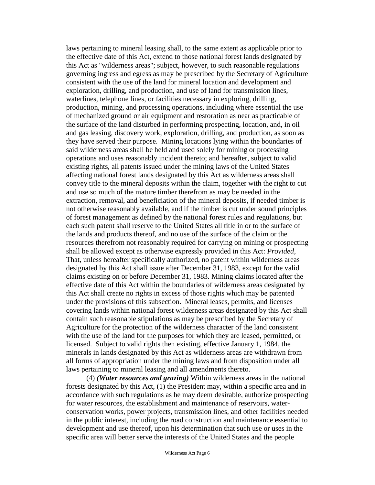laws pertaining to mineral leasing shall, to the same extent as applicable prior to the effective date of this Act, extend to those national forest lands designated by this Act as "wilderness areas"; subject, however, to such reasonable regulations governing ingress and egress as may be prescribed by the Secretary of Agriculture consistent with the use of the land for mineral location and development and exploration, drilling, and production, and use of land for transmission lines, waterlines, telephone lines, or facilities necessary in exploring, drilling, production, mining, and processing operations, including where essential the use of mechanized ground or air equipment and restoration as near as practicable of the surface of the land disturbed in performing prospecting, location, and, in oil and gas leasing, discovery work, exploration, drilling, and production, as soon as they have served their purpose. Mining locations lying within the boundaries of said wilderness areas shall be held and used solely for mining or processing operations and uses reasonably incident thereto; and hereafter, subject to valid existing rights, all patents issued under the mining laws of the United States affecting national forest lands designated by this Act as wilderness areas shall convey title to the mineral deposits within the claim, together with the right to cut and use so much of the mature timber therefrom as may be needed in the extraction, removal, and beneficiation of the mineral deposits, if needed timber is not otherwise reasonably available, and if the timber is cut under sound principles of forest management as defined by the national forest rules and regulations, but each such patent shall reserve to the United States all title in or to the surface of the lands and products thereof, and no use of the surface of the claim or the resources therefrom not reasonably required for carrying on mining or prospecting shall be allowed except as otherwise expressly provided in this Act: *Provided,* That, unless hereafter specifically authorized, no patent within wilderness areas designated by this Act shall issue after December 31, 1983, except for the valid claims existing on or before December 31, 1983. Mining claims located after the effective date of this Act within the boundaries of wilderness areas designated by this Act shall create no rights in excess of those rights which may be patented under the provisions of this subsection. Mineral leases, permits, and licenses covering lands within national forest wilderness areas designated by this Act shall contain such reasonable stipulations as may be prescribed by the Secretary of Agriculture for the protection of the wilderness character of the land consistent with the use of the land for the purposes for which they are leased, permitted, or licensed. Subject to valid rights then existing, effective January 1, 1984, the minerals in lands designated by this Act as wilderness areas are withdrawn from all forms of appropriation under the mining laws and from disposition under all laws pertaining to mineral leasing and all amendments thereto.

 (4) *(Water resources and grazing)* Within wilderness areas in the national forests designated by this Act, (1) the President may, within a specific area and in accordance with such regulations as he may deem desirable, authorize prospecting for water resources, the establishment and maintenance of reservoirs, waterconservation works, power projects, transmission lines, and other facilities needed in the public interest, including the road construction and maintenance essential to development and use thereof, upon his determination that such use or uses in the specific area will better serve the interests of the United States and the people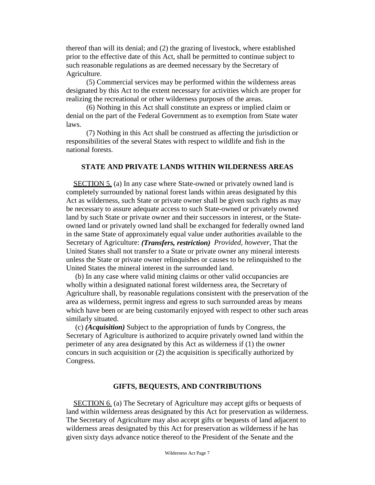thereof than will its denial; and (2) the grazing of livestock, where established prior to the effective date of this Act, shall be permitted to continue subject to such reasonable regulations as are deemed necessary by the Secretary of Agriculture.

 (5) Commercial services may be performed within the wilderness areas designated by this Act to the extent necessary for activities which are proper for realizing the recreational or other wilderness purposes of the areas.

 (6) Nothing in this Act shall constitute an express or implied claim or denial on the part of the Federal Government as to exemption from State water laws.

 (7) Nothing in this Act shall be construed as affecting the jurisdiction or responsibilities of the several States with respect to wildlife and fish in the national forests.

## **STATE AND PRIVATE LANDS WITHIN WILDERNESS AREAS**

SECTION 5. (a) In any case where State-owned or privately owned land is completely surrounded by national forest lands within areas designated by this Act as wilderness, such State or private owner shall be given such rights as may be necessary to assure adequate access to such State-owned or privately owned land by such State or private owner and their successors in interest, or the Stateowned land or privately owned land shall be exchanged for federally owned land in the same State of approximately equal value under authorities available to the Secretary of Agriculture: *(Transfers, restriction) Provided, however,* That the United States shall not transfer to a State or private owner any mineral interests unless the State or private owner relinquishes or causes to be relinquished to the United States the mineral interest in the surrounded land.

 (b) In any case where valid mining claims or other valid occupancies are wholly within a designated national forest wilderness area, the Secretary of Agriculture shall, by reasonable regulations consistent with the preservation of the area as wilderness, permit ingress and egress to such surrounded areas by means which have been or are being customarily enjoyed with respect to other such areas similarly situated.

 (c) *(Acquisition)* Subject to the appropriation of funds by Congress, the Secretary of Agriculture is authorized to acquire privately owned land within the perimeter of any area designated by this Act as wilderness if (1) the owner concurs in such acquisition or (2) the acquisition is specifically authorized by Congress.

### **GIFTS, BEQUESTS, AND CONTRIBUTIONS**

SECTION 6. (a) The Secretary of Agriculture may accept gifts or bequests of land within wilderness areas designated by this Act for preservation as wilderness. The Secretary of Agriculture may also accept gifts or bequests of land adjacent to wilderness areas designated by this Act for preservation as wilderness if he has given sixty days advance notice thereof to the President of the Senate and the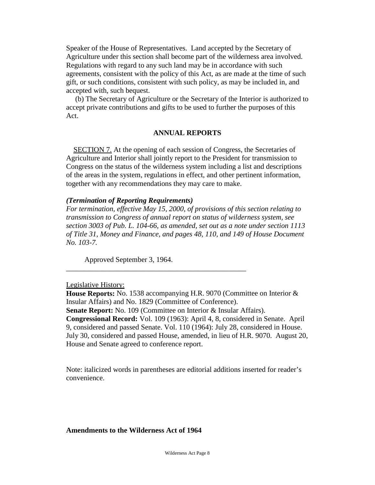Speaker of the House of Representatives. Land accepted by the Secretary of Agriculture under this section shall become part of the wilderness area involved. Regulations with regard to any such land may be in accordance with such agreements, consistent with the policy of this Act, as are made at the time of such gift, or such conditions, consistent with such policy, as may be included in, and accepted with, such bequest.

 (b) The Secretary of Agriculture or the Secretary of the Interior is authorized to accept private contributions and gifts to be used to further the purposes of this Act.

### **ANNUAL REPORTS**

SECTION 7. At the opening of each session of Congress, the Secretaries of Agriculture and Interior shall jointly report to the President for transmission to Congress on the status of the wilderness system including a list and descriptions of the areas in the system, regulations in effect, and other pertinent information, together with any recommendations they may care to make.

#### *(Termination of Reporting Requirements)*

*For termination, effective May 15, 2000, of provisions of this section relating to transmission to Congress of annual report on status of wilderness system, see section 3003 of Pub. L. 104-66, as amended, set out as a note under section 1113 of Title 31, Money and Finance, and pages 48, 110, and 149 of House Document No. 103-7.*

Approved September 3, 1964.

\_\_\_\_\_\_\_\_\_\_\_\_\_\_\_\_\_\_\_\_\_\_\_\_\_\_\_\_\_\_\_\_\_\_\_\_\_\_\_\_\_\_\_\_\_\_\_\_\_

Legislative History:

**House Reports:** No. 1538 accompanying H.R. 9070 (Committee on Interior & Insular Affairs) and No. 1829 (Committee of Conference). Senate Report: No. 109 (Committee on Interior & Insular Affairs). **Congressional Record:** Vol. 109 (1963): April 4, 8, considered in Senate. April 9, considered and passed Senate. Vol. 110 (1964): July 28, considered in House. July 30, considered and passed House, amended, in lieu of H.R. 9070. August 20, House and Senate agreed to conference report.

Note: italicized words in parentheses are editorial additions inserted for reader's convenience.

### **Amendments to the Wilderness Act of 1964**